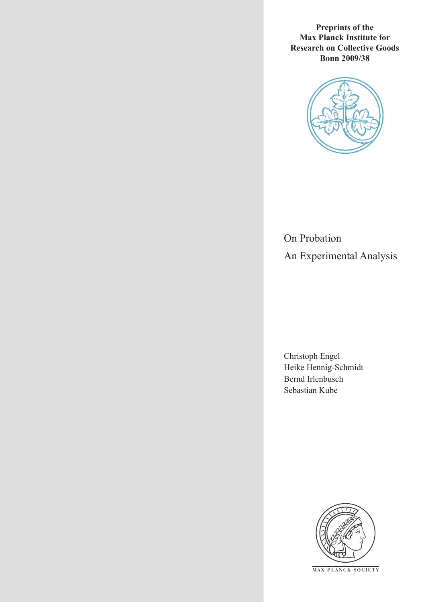**Preprints of the Max Planck Institute for Research on Collective Goods Bonn 2009/38**



On Probation An Experimental Analysis

Christoph Engel Heike Hennig-Schmidt Bernd Irlenbusch Sebastian Kube



**M AX P L A N C K S O C I E T Y**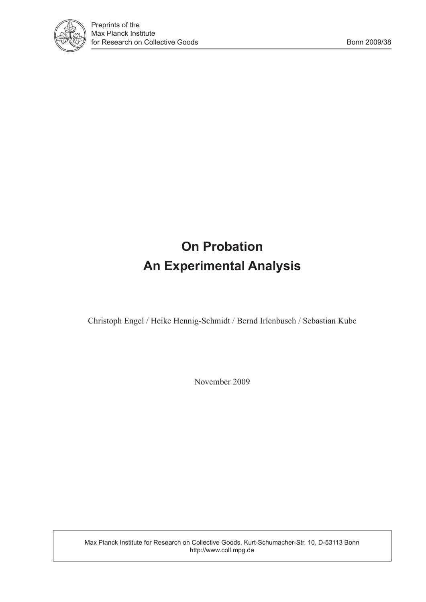

# **On Probation An Experimental Analysis**

Christoph Engel / Heike Hennig-Schmidt / Bernd Irlenbusch / Sebastian Kube

November 2009

Max Planck Institute for Research on Collective Goods, Kurt-Schumacher-Str. 10, D-53113 Bonn http://www.coll.mpg.de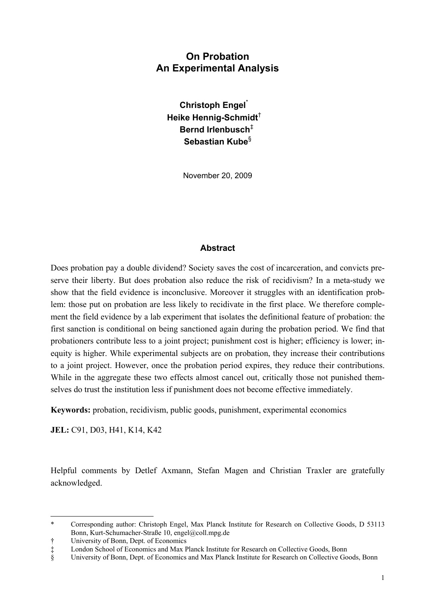# **On Probation An Experimental Analysis**

**Christoph Engel**\*  **Heike Hennig-Schmidt**†  **Bernd Irlenbusch**‡  **Sebastian Kube**§

November 20, 2009

### **Abstract**

Does probation pay a double dividend? Society saves the cost of incarceration, and convicts preserve their liberty. But does probation also reduce the risk of recidivism? In a meta-study we show that the field evidence is inconclusive. Moreover it struggles with an identification problem: those put on probation are less likely to recidivate in the first place. We therefore complement the field evidence by a lab experiment that isolates the definitional feature of probation: the first sanction is conditional on being sanctioned again during the probation period. We find that probationers contribute less to a joint project; punishment cost is higher; efficiency is lower; inequity is higher. While experimental subjects are on probation, they increase their contributions to a joint project. However, once the probation period expires, they reduce their contributions. While in the aggregate these two effects almost cancel out, critically those not punished themselves do trust the institution less if punishment does not become effective immediately.

**Keywords:** probation, recidivism, public goods, punishment, experimental economics

**JEL:** C91, D03, H41, K14, K42

 $\overline{a}$ 

Helpful comments by Detlef Axmann, Stefan Magen and Christian Traxler are gratefully acknowledged.

<sup>\*</sup> Corresponding author: Christoph Engel, Max Planck Institute for Research on Collective Goods, D 53113 Bonn, Kurt-Schumacher-Straße 10, engel@coll.mpg.de

<sup>†</sup> University of Bonn, Dept. of Economics<br>† London School of Economics and Max P<br>§ University of Bonn, Dept. of Economics London School of Economics and Max Planck Institute for Research on Collective Goods, Bonn

University of Bonn, Dept. of Economics and Max Planck Institute for Research on Collective Goods, Bonn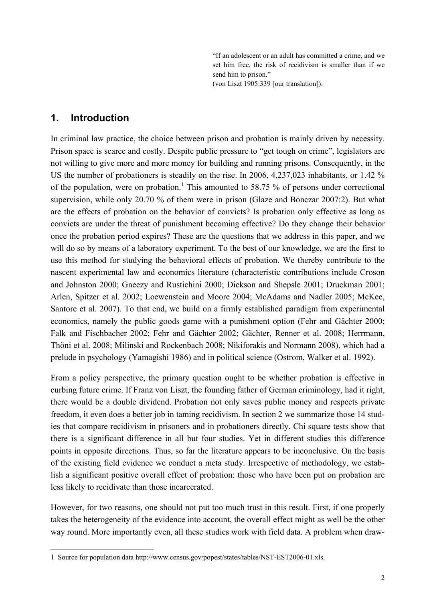"If an adolescent or an adult has committed a crime, and we set him free, the risk of recidivism is smaller than if we send him to prison."

(von Liszt 1905:339 [our translation]).

# **1. Introduction**

j

In criminal law practice, the choice between prison and probation is mainly driven by necessity. Prison space is scarce and costly. Despite public pressure to "get tough on crime", legislators are not willing to give more and more money for building and running prisons. Consequently, in the US the number of probationers is steadily on the rise. In 2006, 4,237,023 inhabitants, or 1.42 % of the population, were on probation.<sup>1</sup> This amounted to 58.75 % of persons under correctional supervision, while only 20.70 % of them were in prison (Glaze and Bonczar 2007:2). But what are the effects of probation on the behavior of convicts? Is probation only effective as long as convicts are under the threat of punishment becoming effective? Do they change their behavior once the probation period expires? These are the questions that we address in this paper, and we will do so by means of a laboratory experiment. To the best of our knowledge, we are the first to use this method for studying the behavioral effects of probation. We thereby contribute to the nascent experimental law and economics literature (characteristic contributions include Croson and Johnston 2000; Gneezy and Rustichini 2000; Dickson and Shepsle 2001; Druckman 2001; Arlen, Spitzer et al. 2002; Loewenstein and Moore 2004; McAdams and Nadler 2005; McKee, Santore et al. 2007). To that end, we build on a firmly established paradigm from experimental economics, namely the public goods game with a punishment option (Fehr and Gächter 2000; Falk and Fischbacher 2002; Fehr and Gächter 2002; Gächter, Renner et al. 2008; Herrmann, Thöni et al. 2008; Milinski and Rockenbach 2008; Nikiforakis and Normann 2008), which had a prelude in psychology (Yamagishi 1986) and in political science (Ostrom, Walker et al. 1992).

From a policy perspective, the primary question ought to be whether probation is effective in curbing future crime. If Franz von Liszt, the founding father of German criminology, had it right, there would be a double dividend. Probation not only saves public money and respects private freedom, it even does a better job in taming recidivism. In section 2 we summarize those 14 studies that compare recidivism in prisoners and in probationers directly. Chi square tests show that there is a significant difference in all but four studies. Yet in different studies this difference points in opposite directions. Thus, so far the literature appears to be inconclusive. On the basis of the existing field evidence we conduct a meta study. Irrespective of methodology, we establish a significant positive overall effect of probation: those who have been put on probation are less likely to recidivate than those incarcerated.

However, for two reasons, one should not put too much trust in this result. First, if one properly takes the heterogeneity of the evidence into account, the overall effect might as well be the other way round. More importantly even, all these studies work with field data. A problem when draw-

<sup>1</sup> Source for population data http://www.census.gov/popest/states/tables/NST-EST2006-01.xls.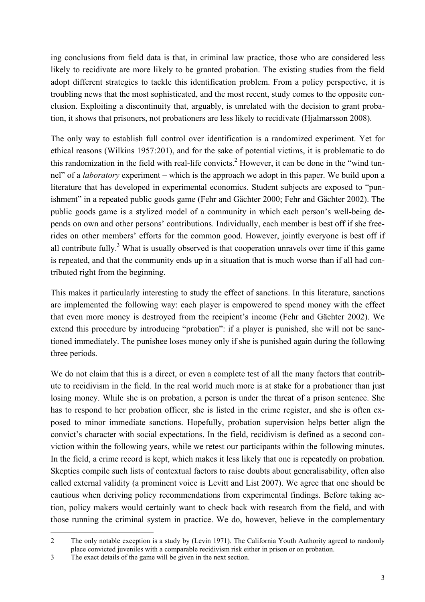ing conclusions from field data is that, in criminal law practice, those who are considered less likely to recidivate are more likely to be granted probation. The existing studies from the field adopt different strategies to tackle this identification problem. From a policy perspective, it is troubling news that the most sophisticated, and the most recent, study comes to the opposite conclusion. Exploiting a discontinuity that, arguably, is unrelated with the decision to grant probation, it shows that prisoners, not probationers are less likely to recidivate (Hjalmarsson 2008).

The only way to establish full control over identification is a randomized experiment. Yet for ethical reasons (Wilkins 1957:201), and for the sake of potential victims, it is problematic to do this randomization in the field with real-life convicts.<sup>2</sup> However, it can be done in the "wind tunnel" of a *laboratory* experiment – which is the approach we adopt in this paper. We build upon a literature that has developed in experimental economics. Student subjects are exposed to "punishment" in a repeated public goods game (Fehr and Gächter 2000; Fehr and Gächter 2002). The public goods game is a stylized model of a community in which each person's well-being depends on own and other persons' contributions. Individually, each member is best off if she freerides on other members' efforts for the common good. However, jointly everyone is best off if all contribute fully.<sup>3</sup> What is usually observed is that cooperation unravels over time if this game is repeated, and that the community ends up in a situation that is much worse than if all had contributed right from the beginning.

This makes it particularly interesting to study the effect of sanctions. In this literature, sanctions are implemented the following way: each player is empowered to spend money with the effect that even more money is destroyed from the recipient's income (Fehr and Gächter 2002). We extend this procedure by introducing "probation": if a player is punished, she will not be sanctioned immediately. The punishee loses money only if she is punished again during the following three periods.

We do not claim that this is a direct, or even a complete test of all the many factors that contribute to recidivism in the field. In the real world much more is at stake for a probationer than just losing money. While she is on probation, a person is under the threat of a prison sentence. She has to respond to her probation officer, she is listed in the crime register, and she is often exposed to minor immediate sanctions. Hopefully, probation supervision helps better align the convict's character with social expectations. In the field, recidivism is defined as a second conviction within the following years, while we retest our participants within the following minutes. In the field, a crime record is kept, which makes it less likely that one is repeatedly on probation. Skeptics compile such lists of contextual factors to raise doubts about generalisability, often also called external validity (a prominent voice is Levitt and List 2007). We agree that one should be cautious when deriving policy recommendations from experimental findings. Before taking action, policy makers would certainly want to check back with research from the field, and with those running the criminal system in practice. We do, however, believe in the complementary

-

<sup>2</sup> The only notable exception is a study by (Levin 1971). The California Youth Authority agreed to randomly place convicted juveniles with a comparable recidivism risk either in prison or on probation.

<sup>3</sup> The exact details of the game will be given in the next section.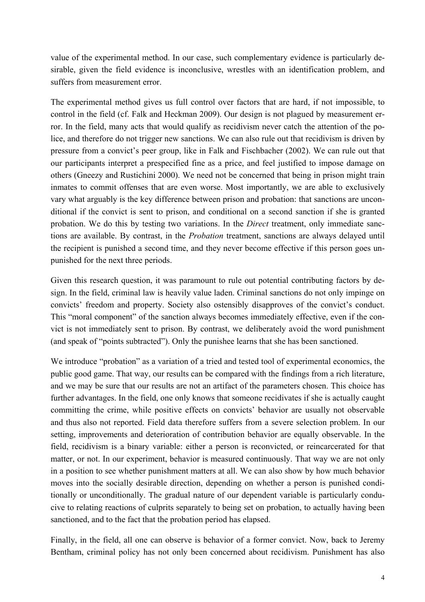value of the experimental method. In our case, such complementary evidence is particularly desirable, given the field evidence is inconclusive, wrestles with an identification problem, and suffers from measurement error.

The experimental method gives us full control over factors that are hard, if not impossible, to control in the field (cf. Falk and Heckman 2009). Our design is not plagued by measurement error. In the field, many acts that would qualify as recidivism never catch the attention of the police, and therefore do not trigger new sanctions. We can also rule out that recidivism is driven by pressure from a convict's peer group, like in Falk and Fischbacher (2002). We can rule out that our participants interpret a prespecified fine as a price, and feel justified to impose damage on others (Gneezy and Rustichini 2000). We need not be concerned that being in prison might train inmates to commit offenses that are even worse. Most importantly, we are able to exclusively vary what arguably is the key difference between prison and probation: that sanctions are unconditional if the convict is sent to prison, and conditional on a second sanction if she is granted probation. We do this by testing two variations. In the *Direct* treatment, only immediate sanctions are available. By contrast, in the *Probation* treatment, sanctions are always delayed until the recipient is punished a second time, and they never become effective if this person goes unpunished for the next three periods.

Given this research question, it was paramount to rule out potential contributing factors by design. In the field, criminal law is heavily value laden. Criminal sanctions do not only impinge on convicts' freedom and property. Society also ostensibly disapproves of the convict's conduct. This "moral component" of the sanction always becomes immediately effective, even if the convict is not immediately sent to prison. By contrast, we deliberately avoid the word punishment (and speak of "points subtracted"). Only the punishee learns that she has been sanctioned.

We introduce "probation" as a variation of a tried and tested tool of experimental economics, the public good game. That way, our results can be compared with the findings from a rich literature, and we may be sure that our results are not an artifact of the parameters chosen. This choice has further advantages. In the field, one only knows that someone recidivates if she is actually caught committing the crime, while positive effects on convicts' behavior are usually not observable and thus also not reported. Field data therefore suffers from a severe selection problem. In our setting, improvements and deterioration of contribution behavior are equally observable. In the field, recidivism is a binary variable: either a person is reconvicted, or reincarcerated for that matter, or not. In our experiment, behavior is measured continuously. That way we are not only in a position to see whether punishment matters at all. We can also show by how much behavior moves into the socially desirable direction, depending on whether a person is punished conditionally or unconditionally. The gradual nature of our dependent variable is particularly conducive to relating reactions of culprits separately to being set on probation, to actually having been sanctioned, and to the fact that the probation period has elapsed.

Finally, in the field, all one can observe is behavior of a former convict. Now, back to Jeremy Bentham, criminal policy has not only been concerned about recidivism. Punishment has also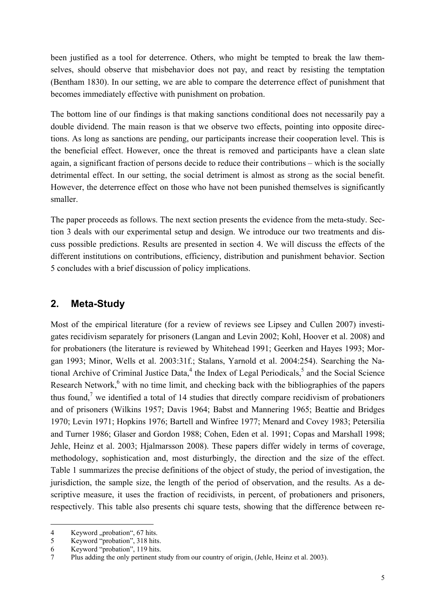been justified as a tool for deterrence. Others, who might be tempted to break the law themselves, should observe that misbehavior does not pay, and react by resisting the temptation (Bentham 1830). In our setting, we are able to compare the deterrence effect of punishment that becomes immediately effective with punishment on probation.

The bottom line of our findings is that making sanctions conditional does not necessarily pay a double dividend. The main reason is that we observe two effects, pointing into opposite directions. As long as sanctions are pending, our participants increase their cooperation level. This is the beneficial effect. However, once the threat is removed and participants have a clean slate again, a significant fraction of persons decide to reduce their contributions – which is the socially detrimental effect. In our setting, the social detriment is almost as strong as the social benefit. However, the deterrence effect on those who have not been punished themselves is significantly smaller.

The paper proceeds as follows. The next section presents the evidence from the meta-study. Section 3 deals with our experimental setup and design. We introduce our two treatments and discuss possible predictions. Results are presented in section 4. We will discuss the effects of the different institutions on contributions, efficiency, distribution and punishment behavior. Section 5 concludes with a brief discussion of policy implications.

# **2. Meta-Study**

Most of the empirical literature (for a review of reviews see Lipsey and Cullen 2007) investigates recidivism separately for prisoners (Langan and Levin 2002; Kohl, Hoover et al. 2008) and for probationers (the literature is reviewed by Whitehead 1991; Geerken and Hayes 1993; Morgan 1993; Minor, Wells et al. 2003:31f.; Stalans, Yarnold et al. 2004:254). Searching the National Archive of Criminal Justice Data, $4$  the Index of Legal Periodicals, $5$  and the Social Science Research Network,<sup>6</sup> with no time limit, and checking back with the bibliographies of the papers thus found,<sup>7</sup> we identified a total of 14 studies that directly compare recidivism of probationers and of prisoners (Wilkins 1957; Davis 1964; Babst and Mannering 1965; Beattie and Bridges 1970; Levin 1971; Hopkins 1976; Bartell and Winfree 1977; Menard and Covey 1983; Petersilia and Turner 1986; Glaser and Gordon 1988; Cohen, Eden et al. 1991; Copas and Marshall 1998; Jehle, Heinz et al. 2003; Hjalmarsson 2008). These papers differ widely in terms of coverage, methodology, sophistication and, most disturbingly, the direction and the size of the effect. Table 1 summarizes the precise definitions of the object of study, the period of investigation, the jurisdiction, the sample size, the length of the period of observation, and the results. As a descriptive measure, it uses the fraction of recidivists, in percent, of probationers and prisoners, respectively. This table also presents chi square tests, showing that the difference between re-

j 4 Keyword "probation", 67 hits.

<sup>5</sup> Keyword "probation", 318 hits.

<sup>6</sup> Keyword "probation", 119 hits.

<sup>7</sup> Plus adding the only pertinent study from our country of origin, (Jehle, Heinz et al. 2003).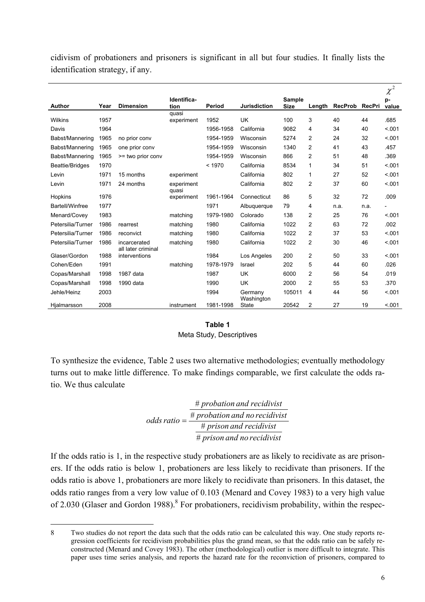cidivism of probationers and prisoners is significant in all but four studies. It finally lists the identification strategy, if any.

|                   |      |                                    |                     |           |                       |                              |                |                |        | $\chi^2$    |
|-------------------|------|------------------------------------|---------------------|-----------|-----------------------|------------------------------|----------------|----------------|--------|-------------|
| <b>Author</b>     | Year | <b>Dimension</b>                   | Identifica-<br>tion | Period    | <b>Jurisdiction</b>   | <b>Sample</b><br><b>Size</b> | Length         | <b>RecProb</b> | RecPri | p-<br>value |
|                   |      |                                    | quasi               |           |                       |                              |                |                |        |             |
| <b>Wilkins</b>    | 1957 |                                    | experiment          | 1952      | UK                    | 100                          | 3              | 40             | 44     | .685        |
| Davis             | 1964 |                                    |                     | 1956-1958 | California            | 9082                         | 4              | 34             | 40     | < .001      |
| Babst/Mannering   | 1965 | no prior conv                      |                     | 1954-1959 | Wisconsin             | 5274                         | 2              | 24             | 32     | < 0.01      |
| Babst/Mannering   | 1965 | one prior conv                     |                     | 1954-1959 | Wisconsin             | 1340                         | $\overline{2}$ | 41             | 43     | .457        |
| Babst/Mannering   | 1965 | >= two prior conv                  |                     | 1954-1959 | Wisconsin             | 866                          | 2              | 51             | 48     | .369        |
| Beattie/Bridges   | 1970 |                                    |                     | < 1970    | California            | 8534                         | 1              | 34             | 51     | < .001      |
| Levin             | 1971 | 15 months                          | experiment          |           | California            | 802                          | 1              | 27             | 52     | < .001      |
| Levin             | 1971 | 24 months                          | experiment<br>quasi |           | California            | 802                          | $\overline{2}$ | 37             | 60     | < .001      |
| Hopkins           | 1976 |                                    | experiment          | 1961-1964 | Connecticut           | 86                           | 5              | 32             | 72     | .009        |
| Bartell/Winfree   | 1977 |                                    |                     | 1971      | Albuquerque           | 79                           | 4              | n.a.           | n.a.   |             |
| Menard/Covey      | 1983 |                                    | matching            | 1979-1980 | Colorado              | 138                          | 2              | 25             | 76     | < .001      |
| Petersilia/Turner | 1986 | rearrest                           | matching            | 1980      | California            | 1022                         | $\overline{2}$ | 63             | 72     | .002        |
| Petersilia/Turner | 1986 | reconvict                          | matching            | 1980      | California            | 1022                         | $\overline{2}$ | 37             | 53     | < .001      |
| Petersilia/Turner | 1986 | incarcerated<br>all later criminal | matching            | 1980      | California            | 1022                         | $\overline{2}$ | 30             | 46     | < .001      |
| Glaser/Gordon     | 1988 | interventions                      |                     | 1984      | Los Angeles           | 200                          | $\overline{2}$ | 50             | 33     | < .001      |
| Cohen/Eden        | 1991 |                                    | matching            | 1978-1979 | Israel                | 202                          | 5              | 44             | 60     | .026        |
| Copas/Marshall    | 1998 | 1987 data                          |                     | 1987      | <b>UK</b>             | 6000                         | 2              | 56             | 54     | .019        |
| Copas/Marshall    | 1998 | 1990 data                          |                     | 1990      | <b>UK</b>             | 2000                         | $\overline{2}$ | 55             | 53     | .370        |
| Jehle/Heinz       | 2003 |                                    |                     | 1994      | Germany<br>Washington | 105011                       | 4              | 44             | 56     | < .001      |
| Hialmarsson       | 2008 |                                    | instrument          | 1981-1998 | <b>State</b>          | 20542                        | $\overline{2}$ | 27             | 19     | < .001      |

#### **Table 1**  Meta Study, Descriptives

To synthesize the evidence, Table 2 uses two alternative methodologies; eventually methodology turns out to make little difference. To make findings comparable, we first calculate the odds ratio. We thus calculate

$$
odds ratio = \frac{\text{\# }probation and recidivist}{\text{\# }probation and no recidivist}
$$
\n
$$
\frac{\text{\# }probation and recidivist}{\text{\# }prison and recidivist}
$$

If the odds ratio is 1, in the respective study probationers are as likely to recidivate as are prisoners. If the odds ratio is below 1, probationers are less likely to recidivate than prisoners. If the odds ratio is above 1, probationers are more likely to recidivate than prisoners. In this dataset, the odds ratio ranges from a very low value of 0.103 (Menard and Covey 1983) to a very high value of 2.030 (Glaser and Gordon 1988).<sup>8</sup> For probationers, recidivism probability, within the respec-

j 8 Two studies do not report the data such that the odds ratio can be calculated this way. One study reports regression coefficients for recidivism probabilities plus the grand mean, so that the odds ratio can be safely reconstructed (Menard and Covey 1983). The other (methodological) outlier is more difficult to integrate. This paper uses time series analysis, and reports the hazard rate for the reconviction of prisoners, compared to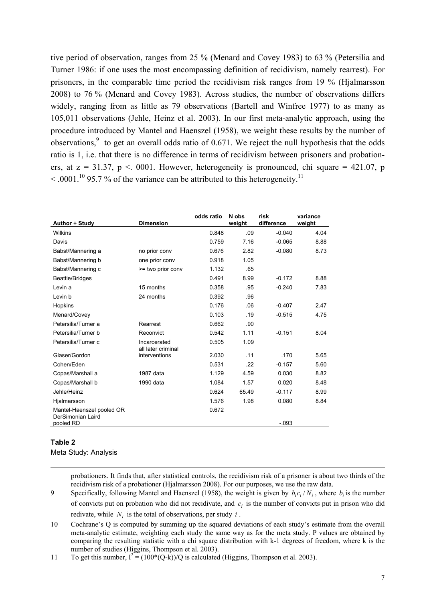tive period of observation, ranges from 25 % (Menard and Covey 1983) to 63 % (Petersilia and Turner 1986: if one uses the most encompassing definition of recidivism, namely rearrest). For prisoners, in the comparable time period the recidivism risk ranges from 19 % (Hjalmarsson 2008) to 76 % (Menard and Covey 1983). Across studies, the number of observations differs widely, ranging from as little as 79 observations (Bartell and Winfree 1977) to as many as 105,011 observations (Jehle, Heinz et al. 2003). In our first meta-analytic approach, using the procedure introduced by Mantel and Haenszel (1958), we weight these results by the number of observations,  $9$  to get an overall odds ratio of 0.671. We reject the null hypothesis that the odds ratio is 1, i.e. that there is no difference in terms of recidivism between prisoners and probationers, at  $z = 31.37$ ,  $p < 0.001$ . However, heterogeneity is pronounced, chi square = 421.07, p  $\leq 0.0001^{10}$  95.7 % of the variance can be attributed to this heterogeneity.<sup>11</sup>

| Author + Study                                 | <b>Dimension</b>                   | odds ratio | N obs<br>weight | risk<br>difference | variance<br>weight |
|------------------------------------------------|------------------------------------|------------|-----------------|--------------------|--------------------|
| <b>Wilkins</b>                                 |                                    | 0.848      | .09             | $-0.040$           | 4.04               |
| Davis                                          |                                    | 0.759      | 7.16            | $-0.065$           | 8.88               |
| Babst/Mannering a                              | no prior conv                      | 0.676      | 2.82            | $-0.080$           | 8.73               |
| Babst/Mannering b                              | one prior conv                     | 0.918      | 1.05            |                    |                    |
| Babst/Mannering c                              | >= two prior conv                  | 1.132      | .65             |                    |                    |
| Beattie/Bridges                                |                                    | 0.491      | 8.99            | $-0.172$           | 8.88               |
| Levin a                                        | 15 months                          | 0.358      | .95             | $-0.240$           | 7.83               |
| Levin b                                        | 24 months                          | 0.392      | .96             |                    |                    |
| Hopkins                                        |                                    | 0.176      | .06             | $-0.407$           | 2.47               |
| Menard/Covey                                   |                                    | 0.103      | .19             | $-0.515$           | 4.75               |
| Petersilia/Turner a                            | Rearrest                           | 0.662      | .90             |                    |                    |
| Petersilia/Turner b                            | Reconvict                          | 0.542      | 1.11            | $-0.151$           | 8.04               |
| Petersilia/Turner c                            | Incarcerated<br>all later criminal | 0.505      | 1.09            |                    |                    |
| Glaser/Gordon                                  | interventions                      | 2.030      | .11             | .170               | 5.65               |
| Cohen/Eden                                     |                                    | 0.531      | .22             | $-0.157$           | 5.60               |
| Copas/Marshall a                               | 1987 data                          | 1.129      | 4.59            | 0.030              | 8.82               |
| Copas/Marshall b                               | 1990 data                          | 1.084      | 1.57            | 0.020              | 8.48               |
| Jehle/Heinz                                    |                                    | 0.624      | 65.49           | $-0.117$           | 8.99               |
| Hjalmarsson                                    |                                    | 1.576      | 1.98            | 0.080              | 8.84               |
| Mantel-Haenszel pooled OR<br>DerSimonian Laird |                                    | 0.672      |                 |                    |                    |
| pooled RD                                      |                                    |            |                 | $-.093$            |                    |

#### **Table 2**

j

Meta Study: Analysis

probationers. It finds that, after statistical controls, the recidivism risk of a prisoner is about two thirds of the recidivism risk of a probationer (Hjalmarsson 2008). For our purposes, we use the raw data.

- 9 Specifically, following Mantel and Haenszel (1958), the weight is given by  $b_i c_i / N_i$ , where  $b_i$  is the number of convicts put on probation who did not recidivate, and  $c_i$  is the number of convicts put in prison who did redivate, while  $N_i$  is the total of observations, per study  $i$ .
- 10 Cochrane's Q is computed by summing up the squared deviations of each study's estimate from the overall meta-analytic estimate, weighting each study the same way as for the meta study. P values are obtained by comparing the resulting statistic with a chi square distribution with k-1 degrees of freedom, where k is the number of studies (Higgins, Thompson et al. 2003).

11 To get this number,  $I^2 = (100*(Q-k))/Q$  is calculated (Higgins, Thompson et al. 2003).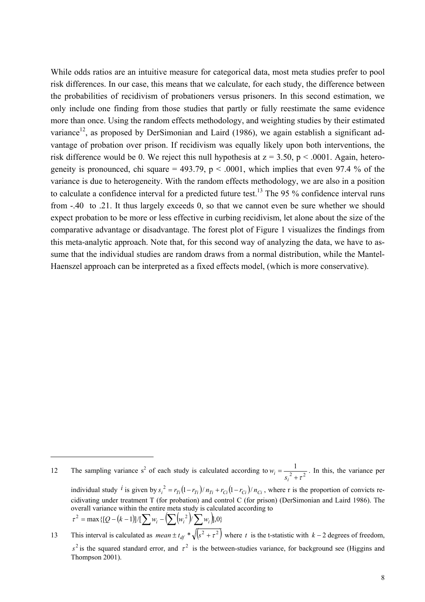While odds ratios are an intuitive measure for categorical data, most meta studies prefer to pool risk differences. In our case, this means that we calculate, for each study, the difference between the probabilities of recidivism of probationers versus prisoners. In this second estimation, we only include one finding from those studies that partly or fully reestimate the same evidence more than once. Using the random effects methodology, and weighting studies by their estimated variance<sup>12</sup>, as proposed by DerSimonian and Laird (1986), we again establish a significant advantage of probation over prison. If recidivism was equally likely upon both interventions, the risk difference would be 0. We reject this null hypothesis at  $z = 3.50$ ,  $p < .0001$ . Again, heterogeneity is pronounced, chi square = 493.79,  $p < .0001$ , which implies that even 97.4 % of the variance is due to heterogeneity. With the random effects methodology, we are also in a position to calculate a confidence interval for a predicted future test.<sup>13</sup> The 95 % confidence interval runs from -.40 to .21. It thus largely exceeds 0, so that we cannot even be sure whether we should expect probation to be more or less effective in curbing recidivism, let alone about the size of the comparative advantage or disadvantage. The forest plot of Figure 1 visualizes the findings from this meta-analytic approach. Note that, for this second way of analyzing the data, we have to assume that the individual studies are random draws from a normal distribution, while the Mantel-Haenszel approach can be interpreted as a fixed effects model, (which is more conservative).

j

<sup>12</sup> The sampling variance s<sup>2</sup> of each study is calculated according to  $w_i = \frac{1}{s_i^2 + \tau^2}$  $i = -\frac{s}{s}$  $w_i = \frac{1}{\sqrt{2}}$ . In this, the variance per

individual study <sup>*i*</sup> is given by  $s_i^2 = r_{Ti}(1 - r_{Ti})/n_{Ti} + r_{Ci}(1 - r_{Ci})/n_{Ci}$ , where r is the proportion of convicts recidivating under treatment T (for probation) and control C (for prison) (DerSimonian and Laird 1986). The overall variance within the entire meta study is calculated according to  $\tau^2 = \max\{[Q - (k-1)]/[\sum_{i} w_i - (\sum_{i} (w_i^2)/\sum_{i} w_i)],0\}$ 

<sup>13</sup> This interval is calculated as  $mean \pm t_{df} * \sqrt{(s^2 + \tau^2)}$  where *t* is the t-statistic with  $k - 2$  degrees of freedom,  $s^2$  is the squared standard error, and  $\tau^2$  is the between-studies variance, for background see (Higgins and Thompson 2001).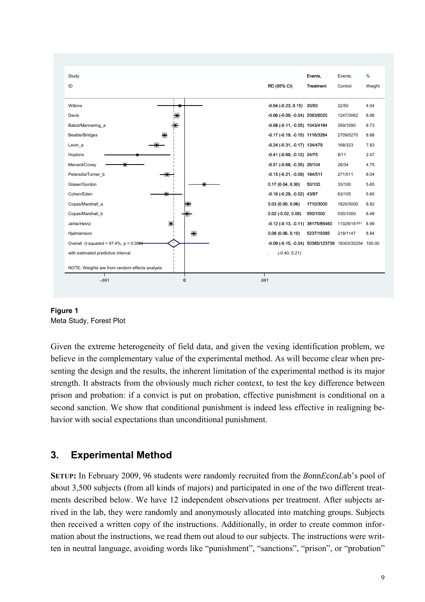

# **Figure 1**

Meta Study, Forest Plot

Given the extreme heterogeneity of field data, and given the vexing identification problem, we believe in the complementary value of the experimental method. As will become clear when presenting the design and the results, the inherent limitation of the experimental method is its major strength. It abstracts from the obviously much richer context, to test the key difference between prison and probation: if a convict is put on probation, effective punishment is conditional on a second sanction. We show that conditional punishment is indeed less effective in realigning behavior with social expectations than unconditional punishment.

# **3. Experimental Method**

**SETUP:** In February 2009, 96 students were randomly recruited from the *B*onn*E*con*L*ab's pool of about 3,500 subjects (from all kinds of majors) and participated in one of the two different treatments described below. We have 12 independent observations per treatment. After subjects arrived in the lab, they were randomly and anonymously allocated into matching groups. Subjects then received a written copy of the instructions. Additionally, in order to create common information about the instructions, we read them out aloud to our subjects. The instructions were written in neutral language, avoiding words like "punishment", "sanctions", "prison", or "probation"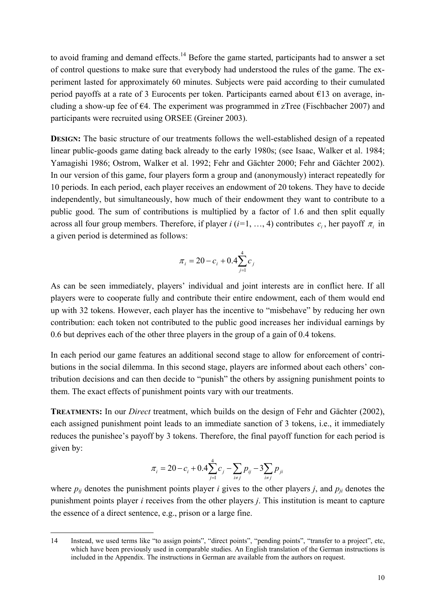to avoid framing and demand effects.<sup>14</sup> Before the game started, participants had to answer a set of control questions to make sure that everybody had understood the rules of the game. The experiment lasted for approximately 60 minutes. Subjects were paid according to their cumulated period payoffs at a rate of 3 Eurocents per token. Participants earned about €13 on average, including a show-up fee of  $\epsilon$ 4. The experiment was programmed in zTree (Fischbacher 2007) and participants were recruited using ORSEE (Greiner 2003).

**DESIGN:** The basic structure of our treatments follows the well-established design of a repeated linear public-goods game dating back already to the early 1980s; (see Isaac, Walker et al. 1984; Yamagishi 1986; Ostrom, Walker et al. 1992; Fehr and Gächter 2000; Fehr and Gächter 2002). In our version of this game, four players form a group and (anonymously) interact repeatedly for 10 periods. In each period, each player receives an endowment of 20 tokens. They have to decide independently, but simultaneously, how much of their endowment they want to contribute to a public good. The sum of contributions is multiplied by a factor of 1.6 and then split equally across all four group members. Therefore, if player *i* ( $i=1, ..., 4$ ) contributes  $c_i$ , her payoff  $\pi_i$  in a given period is determined as follows:

$$
\pi_i = 20 - c_i + 0.4 \sum_{j=1}^{4} c_j
$$

As can be seen immediately, players' individual and joint interests are in conflict here. If all players were to cooperate fully and contribute their entire endowment, each of them would end up with 32 tokens. However, each player has the incentive to "misbehave" by reducing her own contribution: each token not contributed to the public good increases her individual earnings by 0.6 but deprives each of the other three players in the group of a gain of 0.4 tokens.

In each period our game features an additional second stage to allow for enforcement of contributions in the social dilemma. In this second stage, players are informed about each others' contribution decisions and can then decide to "punish" the others by assigning punishment points to them. The exact effects of punishment points vary with our treatments.

**TREATMENTS:** In our *Direct* treatment, which builds on the design of Fehr and Gächter (2002), each assigned punishment point leads to an immediate sanction of 3 tokens, i.e., it immediately reduces the punishee's payoff by 3 tokens. Therefore, the final payoff function for each period is given by:

$$
\pi_{i} = 20 - c_{i} + 0.4 \sum_{j=1}^{4} c_{j} - \sum_{i \neq j} p_{ij} - 3 \sum_{i \neq j} p_{ji}
$$

where  $p_{ij}$  denotes the punishment points player *i* gives to the other players *j*, and  $p_{ji}$  denotes the punishment points player *i* receives from the other players *j*. This institution is meant to capture the essence of a direct sentence, e.g., prison or a large fine.

-

<sup>14</sup> Instead, we used terms like "to assign points", "direct points", "pending points", "transfer to a project", etc, which have been previously used in comparable studies. An English translation of the German instructions is included in the Appendix. The instructions in German are available from the authors on request.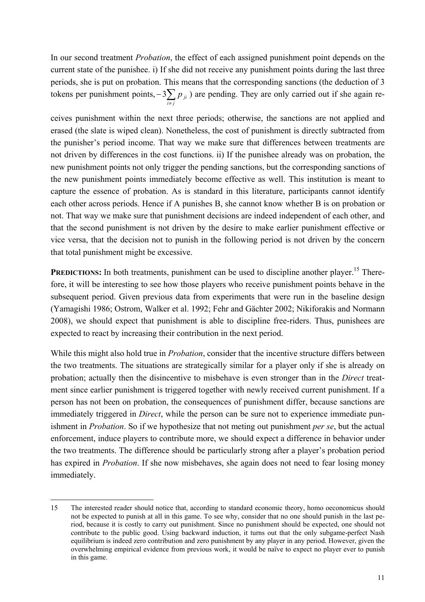In our second treatment *Probation*, the effect of each assigned punishment point depends on the current state of the punishee. i) If she did not receive any punishment points during the last three periods, she is put on probation. This means that the corresponding sanctions (the deduction of 3 tokens per punishment points,  $-3\sum_{i \neq j}$  $i \neq j$  $3\sum p_{ji}$ ) are pending. They are only carried out if she again re-

ceives punishment within the next three periods; otherwise, the sanctions are not applied and erased (the slate is wiped clean). Nonetheless, the cost of punishment is directly subtracted from the punisher's period income. That way we make sure that differences between treatments are not driven by differences in the cost functions. ii) If the punishee already was on probation, the new punishment points not only trigger the pending sanctions, but the corresponding sanctions of the new punishment points immediately become effective as well. This institution is meant to capture the essence of probation. As is standard in this literature, participants cannot identify each other across periods. Hence if A punishes B, she cannot know whether B is on probation or not. That way we make sure that punishment decisions are indeed independent of each other, and that the second punishment is not driven by the desire to make earlier punishment effective or vice versa, that the decision not to punish in the following period is not driven by the concern that total punishment might be excessive.

**PREDICTIONS:** In both treatments, punishment can be used to discipline another player.<sup>15</sup> Therefore, it will be interesting to see how those players who receive punishment points behave in the subsequent period. Given previous data from experiments that were run in the baseline design (Yamagishi 1986; Ostrom, Walker et al. 1992; Fehr and Gächter 2002; Nikiforakis and Normann 2008), we should expect that punishment is able to discipline free-riders. Thus, punishees are expected to react by increasing their contribution in the next period.

While this might also hold true in *Probation*, consider that the incentive structure differs between the two treatments. The situations are strategically similar for a player only if she is already on probation; actually then the disincentive to misbehave is even stronger than in the *Direct* treatment since earlier punishment is triggered together with newly received current punishment. If a person has not been on probation, the consequences of punishment differ, because sanctions are immediately triggered in *Direct*, while the person can be sure not to experience immediate punishment in *Probation*. So if we hypothesize that not meting out punishment *per se*, but the actual enforcement, induce players to contribute more, we should expect a difference in behavior under the two treatments. The difference should be particularly strong after a player's probation period has expired in *Probation*. If she now misbehaves, she again does not need to fear losing money immediately.

j

<sup>15</sup> The interested reader should notice that, according to standard economic theory, homo oeconomicus should not be expected to punish at all in this game. To see why, consider that no one should punish in the last period, because it is costly to carry out punishment. Since no punishment should be expected, one should not contribute to the public good. Using backward induction, it turns out that the only subgame-perfect Nash equilibrium is indeed zero contribution and zero punishment by any player in any period. However, given the overwhelming empirical evidence from previous work, it would be naïve to expect no player ever to punish in this game.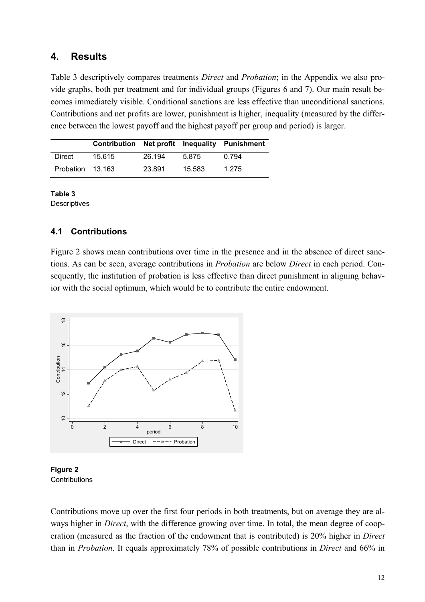### **4. Results**

Table 3 descriptively compares treatments *Direct* and *Probation*; in the Appendix we also provide graphs, both per treatment and for individual groups (Figures 6 and 7). Our main result becomes immediately visible. Conditional sanctions are less effective than unconditional sanctions. Contributions and net profits are lower, punishment is higher, inequality (measured by the difference between the lowest payoff and the highest payoff per group and period) is larger.

|                  | Contribution Net profit Inequality Punishment |        |        |       |
|------------------|-----------------------------------------------|--------|--------|-------|
| Direct           | 15.615                                        | 26.194 | 5.875  | በ 794 |
| Probation 13.163 |                                               | 23.891 | 15.583 | 1.275 |

**Table 3 Descriptives** 

### **4.1 Contributions**

Figure 2 shows mean contributions over time in the presence and in the absence of direct sanctions. As can be seen, average contributions in *Probation* are below *Direct* in each period. Consequently, the institution of probation is less effective than direct punishment in aligning behavior with the social optimum, which would be to contribute the entire endowment.





Contributions move up over the first four periods in both treatments, but on average they are always higher in *Direct*, with the difference growing over time. In total, the mean degree of cooperation (measured as the fraction of the endowment that is contributed) is 20% higher in *Direct* than in *Probation*. It equals approximately 78% of possible contributions in *Direct* and 66% in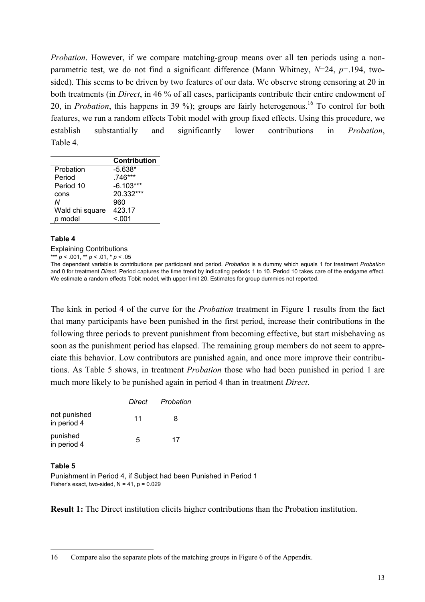*Probation*. However, if we compare matching-group means over all ten periods using a nonparametric test, we do not find a significant difference (Mann Whitney, *N*=24, *p*=.194, twosided). This seems to be driven by two features of our data. We observe strong censoring at 20 in both treatments (in *Direct*, in 46 % of all cases, participants contribute their entire endowment of 20, in *Probation*, this happens in 39 %); groups are fairly heterogenous.<sup>16</sup> To control for both features, we run a random effects Tobit model with group fixed effects. Using this procedure, we establish substantially and significantly lower contributions in *Probation*, Table 4.

|                 | <b>Contribution</b> |
|-----------------|---------------------|
| Probation       | $-5.638*$           |
| Period          | .746***             |
| Period 10       | $-6.103***$         |
| cons            | 20.332***           |
| Ν               | 960                 |
| Wald chi square | 423.17              |
| p model         | < 0.01              |

#### **Table 4**

Explaining Contributions

\*\*\* *p* < .001, \*\* *p* < .01, \* *p* < .05

The dependent variable is contributions per participant and period. *Probation* is a dummy which equals 1 for treatment *Probation* and 0 for treatment *Direct*. Period captures the time trend by indicating periods 1 to 10. Period 10 takes care of the endgame effect. We estimate a random effects Tobit model, with upper limit 20. Estimates for group dummies not reported.

The kink in period 4 of the curve for the *Probation* treatment in Figure 1 results from the fact that many participants have been punished in the first period, increase their contributions in the following three periods to prevent punishment from becoming effective, but start misbehaving as soon as the punishment period has elapsed. The remaining group members do not seem to appreciate this behavior. Low contributors are punished again, and once more improve their contributions. As Table 5 shows, in treatment *Probation* those who had been punished in period 1 are much more likely to be punished again in period 4 than in treatment *Direct*.

|                             | Direct | Probation |
|-----------------------------|--------|-----------|
| not punished<br>in period 4 | 11     | 8         |
| punished<br>in period 4     | 5      | 17        |

#### **Table 5**

j

Punishment in Period 4, if Subject had been Punished in Period 1 Fisher's exact, two-sided,  $N = 41$ ,  $p = 0.029$ 

**Result 1:** The Direct institution elicits higher contributions than the Probation institution.

<sup>16</sup> Compare also the separate plots of the matching groups in Figure 6 of the Appendix.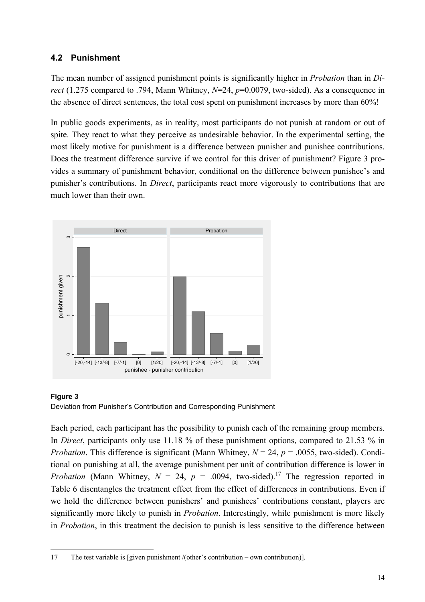### **4.2 Punishment**

The mean number of assigned punishment points is significantly higher in *Probation* than in *Direct* (1.275 compared to .794, Mann Whitney, *N*=24, *p*=0.0079, two-sided). As a consequence in the absence of direct sentences, the total cost spent on punishment increases by more than 60%!

In public goods experiments, as in reality, most participants do not punish at random or out of spite. They react to what they perceive as undesirable behavior. In the experimental setting, the most likely motive for punishment is a difference between punisher and punishee contributions. Does the treatment difference survive if we control for this driver of punishment? Figure 3 provides a summary of punishment behavior, conditional on the difference between punishee's and punisher's contributions. In *Direct*, participants react more vigorously to contributions that are much lower than their own.





Each period, each participant has the possibility to punish each of the remaining group members. In *Direct*, participants only use 11.18 % of these punishment options, compared to 21.53 % in *Probation*. This difference is significant (Mann Whitney,  $N = 24$ ,  $p = .0055$ , two-sided). Conditional on punishing at all, the average punishment per unit of contribution difference is lower in *Probation* (Mann Whitney,  $N = 24$ ,  $p = .0094$ , two-sided).<sup>17</sup> The regression reported in Table 6 disentangles the treatment effect from the effect of differences in contributions. Even if we hold the difference between punishers' and punishees' contributions constant, players are significantly more likely to punish in *Probation*. Interestingly, while punishment is more likely in *Probation*, in this treatment the decision to punish is less sensitive to the difference between

j 17 The test variable is [given punishment /(other's contribution – own contribution)].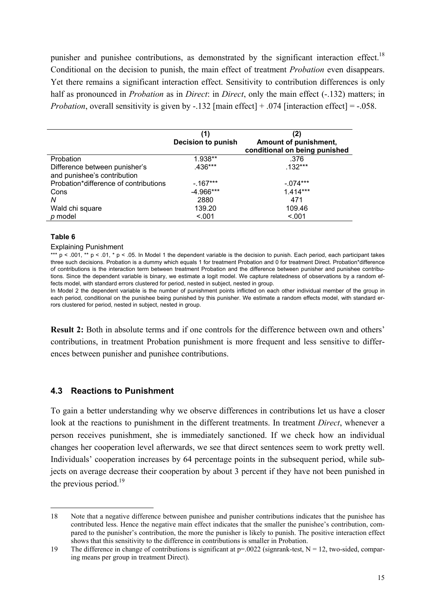punisher and punishee contributions, as demonstrated by the significant interaction effect.<sup>18</sup> Conditional on the decision to punish, the main effect of treatment *Probation* even disappears. Yet there remains a significant interaction effect. Sensitivity to contribution differences is only half as pronounced in *Probation* as in *Direct*: in *Direct*, only the main effect (-.132) matters; in *Probation*, overall sensitivity is given by -.132 [main effect] + .074 [interaction effect] = -.058.

|                                                              | (1)<br><b>Decision to punish</b> | (2)<br>Amount of punishment,<br>conditional on being punished |
|--------------------------------------------------------------|----------------------------------|---------------------------------------------------------------|
| Probation                                                    | 1.938**                          | .376                                                          |
| Difference between punisher's<br>and punishee's contribution | $.436***$                        | $.132***$                                                     |
| Probation*difference of contributions                        | $-.167***$                       | $-.074***$                                                    |
| Cons                                                         | $-4.966***$                      | $1.414***$                                                    |
| N                                                            | 2880                             | 471                                                           |
| Wald chi square                                              | 139.20                           | 109.46                                                        |
| p model                                                      | < 0.01                           | < .001                                                        |

#### **Table 6**

#### Explaining Punishment

\*\*\* p < .001, \*\* p < .01, \* p < .05. In Model 1 the dependent variable is the decision to punish. Each period, each participant takes three such decisions. Probation is a dummy which equals 1 for treatment Probation and 0 for treatment Direct. Probation\*difference of contributions is the interaction term between treatment Probation and the difference between punisher and punishee contributions. Since the dependent variable is binary, we estimate a logit model. We capture relatedness of observations by a random effects model, with standard errors clustered for period, nested in subject, nested in group.

In Model 2 the dependent variable is the number of punishment points inflicted on each other individual member of the group in each period, conditional on the punishee being punished by this punisher. We estimate a random effects model, with standard errors clustered for period, nested in subject, nested in group.

**Result 2:** Both in absolute terms and if one controls for the difference between own and others' contributions, in treatment Probation punishment is more frequent and less sensitive to differences between punisher and punishee contributions.

### **4.3 Reactions to Punishment**

To gain a better understanding why we observe differences in contributions let us have a closer look at the reactions to punishment in the different treatments. In treatment *Direct*, whenever a person receives punishment, she is immediately sanctioned. If we check how an individual changes her cooperation level afterwards, we see that direct sentences seem to work pretty well. Individuals' cooperation increases by 64 percentage points in the subsequent period, while subjects on average decrease their cooperation by about 3 percent if they have not been punished in the previous period.<sup>19</sup>

 $\overline{a}$ 18 Note that a negative difference between punishee and punisher contributions indicates that the punishee has contributed less. Hence the negative main effect indicates that the smaller the punishee's contribution, compared to the punisher's contribution, the more the punisher is likely to punish. The positive interaction effect shows that this sensitivity to the difference in contributions is smaller in Probation.

<sup>19</sup> The difference in change of contributions is significant at  $p=0.0022$  (signrank-test,  $N = 12$ , two-sided, comparing means per group in treatment Direct).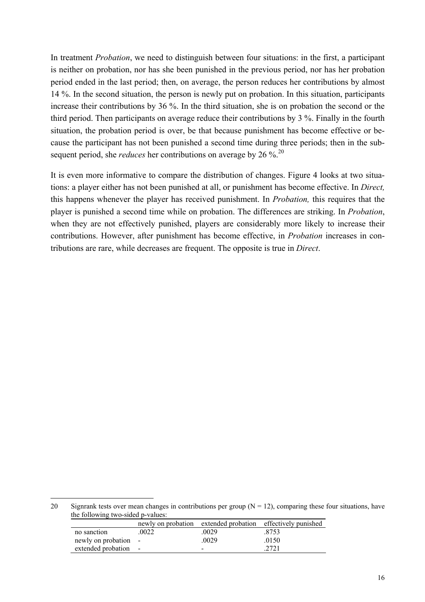In treatment *Probation*, we need to distinguish between four situations: in the first, a participant is neither on probation, nor has she been punished in the previous period, nor has her probation period ended in the last period; then, on average, the person reduces her contributions by almost 14 %. In the second situation, the person is newly put on probation. In this situation, participants increase their contributions by 36 %. In the third situation, she is on probation the second or the third period. Then participants on average reduce their contributions by 3 %. Finally in the fourth situation, the probation period is over, be that because punishment has become effective or because the participant has not been punished a second time during three periods; then in the subsequent period, she *reduces* her contributions on average by 26 %.<sup>20</sup>

It is even more informative to compare the distribution of changes. Figure 4 looks at two situations: a player either has not been punished at all, or punishment has become effective. In *Direct,* this happens whenever the player has received punishment. In *Probation,* this requires that the player is punished a second time while on probation. The differences are striking. In *Probation*, when they are not effectively punished, players are considerably more likely to increase their contributions. However, after punishment has become effective, in *Probation* increases in contributions are rare, while decreases are frequent. The opposite is true in *Direct*.

<sup>20</sup> Signrank tests over mean changes in contributions per group  $(N = 12)$ , comparing these four situations, have the following two-sided p-values:

|                      |       |       | newly on probation extended probation effectively punished |
|----------------------|-------|-------|------------------------------------------------------------|
| no sanction          | .0022 | .0029 | .8753                                                      |
| newly on probation - |       | .0029 | 0150                                                       |
| extended probation - |       | $\,$  | .2721                                                      |
|                      |       |       |                                                            |

j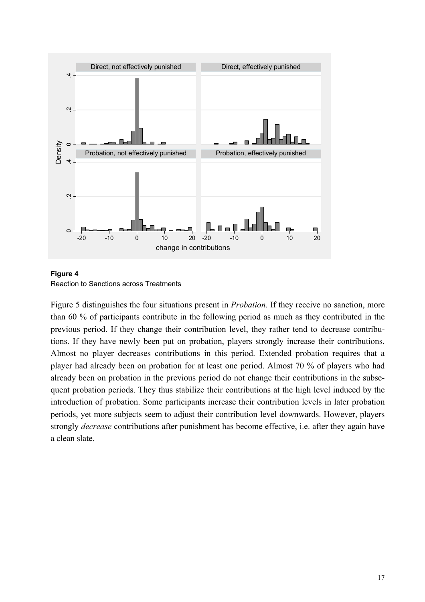



Figure 5 distinguishes the four situations present in *Probation*. If they receive no sanction, more than 60 % of participants contribute in the following period as much as they contributed in the previous period. If they change their contribution level, they rather tend to decrease contributions. If they have newly been put on probation, players strongly increase their contributions. Almost no player decreases contributions in this period. Extended probation requires that a player had already been on probation for at least one period. Almost 70 % of players who had already been on probation in the previous period do not change their contributions in the subsequent probation periods. They thus stabilize their contributions at the high level induced by the introduction of probation. Some participants increase their contribution levels in later probation periods, yet more subjects seem to adjust their contribution level downwards. However, players strongly *decrease* contributions after punishment has become effective, i.e. after they again have a clean slate.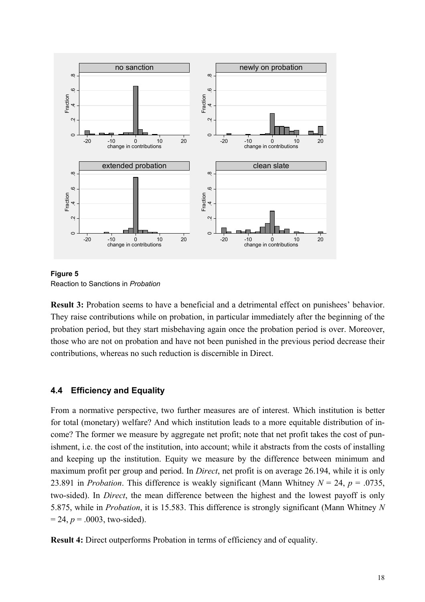

**Figure 5**  Reaction to Sanctions in *Probation*

**Result 3:** Probation seems to have a beneficial and a detrimental effect on punishees' behavior. They raise contributions while on probation, in particular immediately after the beginning of the probation period, but they start misbehaving again once the probation period is over. Moreover, those who are not on probation and have not been punished in the previous period decrease their contributions, whereas no such reduction is discernible in Direct.

### **4.4 Efficiency and Equality**

From a normative perspective, two further measures are of interest. Which institution is better for total (monetary) welfare? And which institution leads to a more equitable distribution of income? The former we measure by aggregate net profit; note that net profit takes the cost of punishment, i.e. the cost of the institution, into account; while it abstracts from the costs of installing and keeping up the institution. Equity we measure by the difference between minimum and maximum profit per group and period. In *Direct*, net profit is on average 26.194, while it is only 23.891 in *Probation*. This difference is weakly significant (Mann Whitney  $N = 24$ ,  $p = .0735$ , two-sided). In *Direct*, the mean difference between the highest and the lowest payoff is only 5.875, while in *Probation*, it is 15.583. This difference is strongly significant (Mann Whitney *N*  $= 24, p = .0003$ , two-sided).

**Result 4:** Direct outperforms Probation in terms of efficiency and of equality.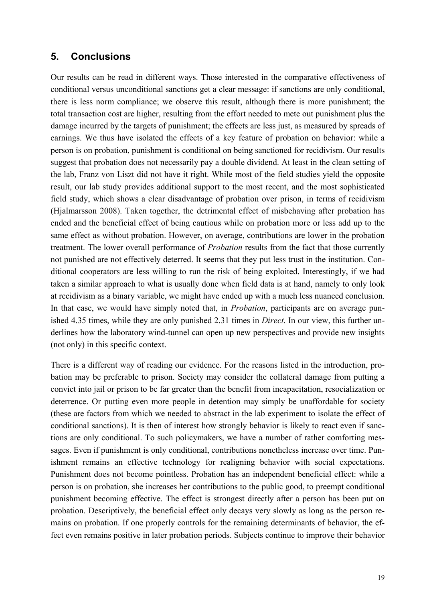### **5. Conclusions**

Our results can be read in different ways. Those interested in the comparative effectiveness of conditional versus unconditional sanctions get a clear message: if sanctions are only conditional, there is less norm compliance; we observe this result, although there is more punishment; the total transaction cost are higher, resulting from the effort needed to mete out punishment plus the damage incurred by the targets of punishment; the effects are less just, as measured by spreads of earnings. We thus have isolated the effects of a key feature of probation on behavior: while a person is on probation, punishment is conditional on being sanctioned for recidivism. Our results suggest that probation does not necessarily pay a double dividend. At least in the clean setting of the lab, Franz von Liszt did not have it right. While most of the field studies yield the opposite result, our lab study provides additional support to the most recent, and the most sophisticated field study, which shows a clear disadvantage of probation over prison, in terms of recidivism (Hjalmarsson 2008). Taken together, the detrimental effect of misbehaving after probation has ended and the beneficial effect of being cautious while on probation more or less add up to the same effect as without probation. However, on average, contributions are lower in the probation treatment. The lower overall performance of *Probation* results from the fact that those currently not punished are not effectively deterred. It seems that they put less trust in the institution. Conditional cooperators are less willing to run the risk of being exploited. Interestingly, if we had taken a similar approach to what is usually done when field data is at hand, namely to only look at recidivism as a binary variable, we might have ended up with a much less nuanced conclusion. In that case, we would have simply noted that, in *Probation*, participants are on average punished 4.35 times, while they are only punished 2.31 times in *Direct*. In our view, this further underlines how the laboratory wind-tunnel can open up new perspectives and provide new insights (not only) in this specific context.

There is a different way of reading our evidence. For the reasons listed in the introduction, probation may be preferable to prison. Society may consider the collateral damage from putting a convict into jail or prison to be far greater than the benefit from incapacitation, resocialization or deterrence. Or putting even more people in detention may simply be unaffordable for society (these are factors from which we needed to abstract in the lab experiment to isolate the effect of conditional sanctions). It is then of interest how strongly behavior is likely to react even if sanctions are only conditional. To such policymakers, we have a number of rather comforting messages. Even if punishment is only conditional, contributions nonetheless increase over time. Punishment remains an effective technology for realigning behavior with social expectations. Punishment does not become pointless. Probation has an independent beneficial effect: while a person is on probation, she increases her contributions to the public good, to preempt conditional punishment becoming effective. The effect is strongest directly after a person has been put on probation. Descriptively, the beneficial effect only decays very slowly as long as the person remains on probation. If one properly controls for the remaining determinants of behavior, the effect even remains positive in later probation periods. Subjects continue to improve their behavior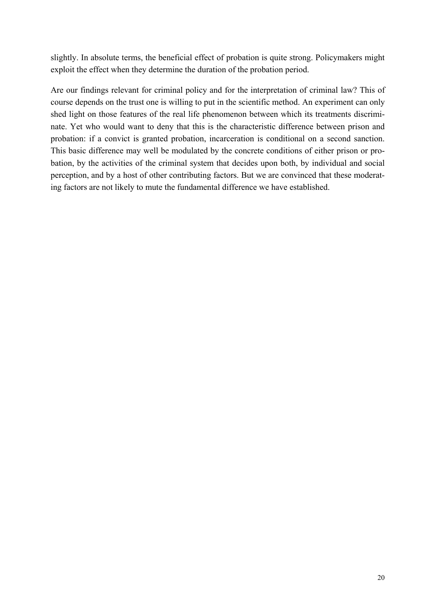slightly. In absolute terms, the beneficial effect of probation is quite strong. Policymakers might exploit the effect when they determine the duration of the probation period.

Are our findings relevant for criminal policy and for the interpretation of criminal law? This of course depends on the trust one is willing to put in the scientific method. An experiment can only shed light on those features of the real life phenomenon between which its treatments discriminate. Yet who would want to deny that this is the characteristic difference between prison and probation: if a convict is granted probation, incarceration is conditional on a second sanction. This basic difference may well be modulated by the concrete conditions of either prison or probation, by the activities of the criminal system that decides upon both, by individual and social perception, and by a host of other contributing factors. But we are convinced that these moderating factors are not likely to mute the fundamental difference we have established.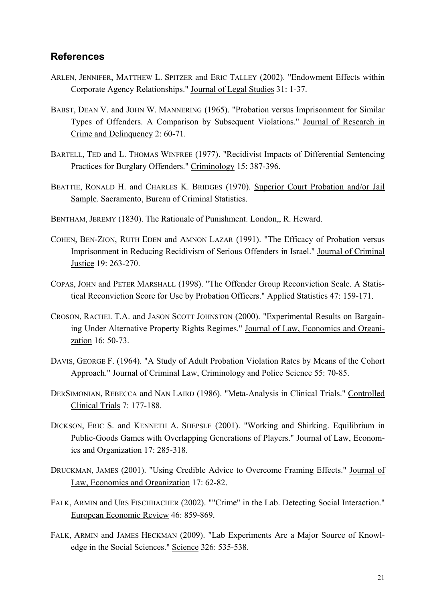### **References**

- ARLEN, JENNIFER, MATTHEW L. SPITZER and ERIC TALLEY (2002). "Endowment Effects within Corporate Agency Relationships." Journal of Legal Studies 31: 1-37.
- BABST, DEAN V. and JOHN W. MANNERING (1965). "Probation versus Imprisonment for Similar Types of Offenders. A Comparison by Subsequent Violations." Journal of Research in Crime and Delinquency 2: 60-71.
- BARTELL, TED and L. THOMAS WINFREE (1977). "Recidivist Impacts of Differential Sentencing Practices for Burglary Offenders." Criminology 15: 387-396.
- BEATTIE, RONALD H. and CHARLES K. BRIDGES (1970). Superior Court Probation and/or Jail Sample. Sacramento, Bureau of Criminal Statistics.
- BENTHAM, JEREMY (1830). The Rationale of Punishment. London,, R. Heward.
- COHEN, BEN-ZION, RUTH EDEN and AMNON LAZAR (1991). "The Efficacy of Probation versus Imprisonment in Reducing Recidivism of Serious Offenders in Israel." Journal of Criminal Justice 19: 263-270.
- COPAS, JOHN and PETER MARSHALL (1998). "The Offender Group Reconviction Scale. A Statistical Reconviction Score for Use by Probation Officers." Applied Statistics 47: 159-171.
- CROSON, RACHEL T.A. and JASON SCOTT JOHNSTON (2000). "Experimental Results on Bargaining Under Alternative Property Rights Regimes." Journal of Law, Economics and Organization 16: 50-73.
- DAVIS, GEORGE F. (1964). "A Study of Adult Probation Violation Rates by Means of the Cohort Approach." Journal of Criminal Law, Criminology and Police Science 55: 70-85.
- DERSIMONIAN, REBECCA and NAN LAIRD (1986). "Meta-Analysis in Clinical Trials." Controlled Clinical Trials 7: 177-188.
- DICKSON, ERIC S. and KENNETH A. SHEPSLE (2001). "Working and Shirking. Equilibrium in Public-Goods Games with Overlapping Generations of Players." Journal of Law, Economics and Organization 17: 285-318.
- DRUCKMAN, JAMES (2001). "Using Credible Advice to Overcome Framing Effects." Journal of Law, Economics and Organization 17: 62-82.
- FALK, ARMIN and URS FISCHBACHER (2002). ""Crime" in the Lab. Detecting Social Interaction." European Economic Review 46: 859-869.
- FALK, ARMIN and JAMES HECKMAN (2009). "Lab Experiments Are a Major Source of Knowledge in the Social Sciences." Science 326: 535-538.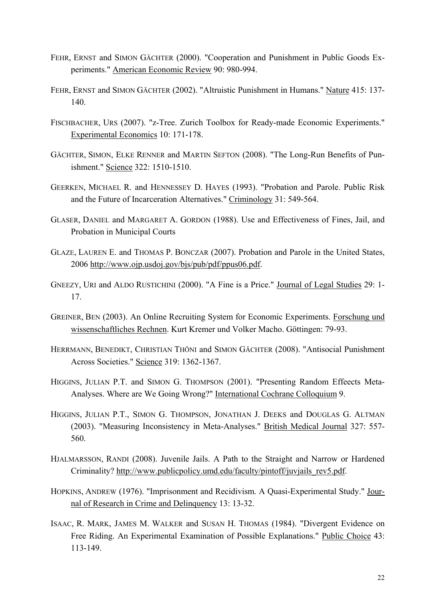- FEHR, ERNST and SIMON GÄCHTER (2000). "Cooperation and Punishment in Public Goods Experiments." American Economic Review 90: 980-994.
- FEHR, ERNST and SIMON GÄCHTER (2002). "Altruistic Punishment in Humans." Nature 415: 137- 140.
- FISCHBACHER, URS (2007). "z-Tree. Zurich Toolbox for Ready-made Economic Experiments." Experimental Economics 10: 171-178.
- GÄCHTER, SIMON, ELKE RENNER and MARTIN SEFTON (2008). "The Long-Run Benefits of Punishment." Science 322: 1510-1510.
- GEERKEN, MICHAEL R. and HENNESSEY D. HAYES (1993). "Probation and Parole. Public Risk and the Future of Incarceration Alternatives." Criminology 31: 549-564.
- GLASER, DANIEL and MARGARET A. GORDON (1988). Use and Effectiveness of Fines, Jail, and Probation in Municipal Courts
- GLAZE, LAUREN E. and THOMAS P. BONCZAR (2007). Probation and Parole in the United States, 2006 http://www.ojp.usdoj.gov/bjs/pub/pdf/ppus06.pdf.
- GNEEZY, URI and ALDO RUSTICHINI (2000). "A Fine is a Price." Journal of Legal Studies 29: 1- 17.
- GREINER, BEN (2003). An Online Recruiting System for Economic Experiments. Forschung und wissenschaftliches Rechnen. Kurt Kremer und Volker Macho. Göttingen: 79-93.
- HERRMANN, BENEDIKT, CHRISTIAN THÖNI and SIMON GÄCHTER (2008). "Antisocial Punishment Across Societies." Science 319: 1362-1367.
- HIGGINS, JULIAN P.T. and SIMON G. THOMPSON (2001). "Presenting Random Effeects Meta-Analyses. Where are We Going Wrong?" International Cochrane Colloquium 9.
- HIGGINS, JULIAN P.T., SIMON G. THOMPSON, JONATHAN J. DEEKS and DOUGLAS G. ALTMAN (2003). "Measuring Inconsistency in Meta-Analyses." British Medical Journal 327: 557- 560.
- HJALMARSSON, RANDI (2008). Juvenile Jails. A Path to the Straight and Narrow or Hardened Criminality? http://www.publicpolicy.umd.edu/faculty/pintoff/juvjails\_rev5.pdf.
- HOPKINS, ANDREW (1976). "Imprisonment and Recidivism. A Quasi-Experimental Study." Journal of Research in Crime and Delinquency 13: 13-32.
- ISAAC, R. MARK, JAMES M. WALKER and SUSAN H. THOMAS (1984). "Divergent Evidence on Free Riding. An Experimental Examination of Possible Explanations." Public Choice 43: 113-149.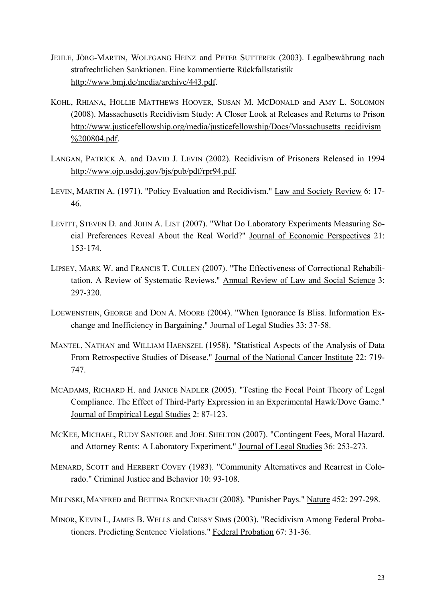- JEHLE, JÖRG-MARTIN, WOLFGANG HEINZ and PETER SUTTERER (2003). Legalbewährung nach strafrechtlichen Sanktionen. Eine kommentierte Rückfallstatistik http://www.bmj.de/media/archive/443.pdf.
- KOHL, RHIANA, HOLLIE MATTHEWS HOOVER, SUSAN M. MCDONALD and AMY L. SOLOMON (2008). Massachusetts Recidivism Study: A Closer Look at Releases and Returns to Prison http://www.justicefellowship.org/media/justicefellowship/Docs/Massachusetts\_recidivism %200804.pdf.
- LANGAN, PATRICK A. and DAVID J. LEVIN (2002). Recidivism of Prisoners Released in 1994 http://www.ojp.usdoj.gov/bjs/pub/pdf/rpr94.pdf.
- LEVIN, MARTIN A. (1971). "Policy Evaluation and Recidivism." Law and Society Review 6: 17- 46.
- LEVITT, STEVEN D. and JOHN A. LIST (2007). "What Do Laboratory Experiments Measuring Social Preferences Reveal About the Real World?" Journal of Economic Perspectives 21: 153-174.
- LIPSEY, MARK W. and FRANCIS T. CULLEN (2007). "The Effectiveness of Correctional Rehabilitation. A Review of Systematic Reviews." Annual Review of Law and Social Science 3: 297-320.
- LOEWENSTEIN, GEORGE and DON A. MOORE (2004). "When Ignorance Is Bliss. Information Exchange and Inefficiency in Bargaining." Journal of Legal Studies 33: 37-58.
- MANTEL, NATHAN and WILLIAM HAENSZEL (1958). "Statistical Aspects of the Analysis of Data From Retrospective Studies of Disease." Journal of the National Cancer Institute 22: 719- 747.
- MCADAMS, RICHARD H. and JANICE NADLER (2005). "Testing the Focal Point Theory of Legal Compliance. The Effect of Third-Party Expression in an Experimental Hawk/Dove Game." Journal of Empirical Legal Studies 2: 87-123.
- MCKEE, MICHAEL, RUDY SANTORE and JOEL SHELTON (2007). "Contingent Fees, Moral Hazard, and Attorney Rents: A Laboratory Experiment." Journal of Legal Studies 36: 253-273.
- MENARD, SCOTT and HERBERT COVEY (1983). "Community Alternatives and Rearrest in Colorado." Criminal Justice and Behavior 10: 93-108.
- MILINSKI, MANFRED and BETTINA ROCKENBACH (2008). "Punisher Pays." Nature 452: 297-298.
- MINOR, KEVIN I., JAMES B. WELLS and CRISSY SIMS (2003). "Recidivism Among Federal Probationers. Predicting Sentence Violations." Federal Probation 67: 31-36.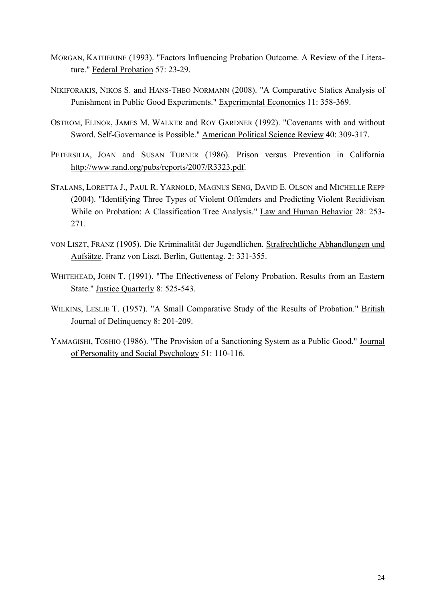- MORGAN, KATHERINE (1993). "Factors Influencing Probation Outcome. A Review of the Literature." Federal Probation 57: 23-29.
- NIKIFORAKIS, NIKOS S. and HANS-THEO NORMANN (2008). "A Comparative Statics Analysis of Punishment in Public Good Experiments." Experimental Economics 11: 358-369.
- OSTROM, ELINOR, JAMES M. WALKER and ROY GARDNER (1992). "Covenants with and without Sword. Self-Governance is Possible." American Political Science Review 40: 309-317.
- PETERSILIA, JOAN and SUSAN TURNER (1986). Prison versus Prevention in California http://www.rand.org/pubs/reports/2007/R3323.pdf.
- STALANS, LORETTA J., PAUL R. YARNOLD, MAGNUS SENG, DAVID E. OLSON and MICHELLE REPP (2004). "Identifying Three Types of Violent Offenders and Predicting Violent Recidivism While on Probation: A Classification Tree Analysis." Law and Human Behavior 28: 253- 271.
- VON LISZT, FRANZ (1905). Die Kriminalität der Jugendlichen. Strafrechtliche Abhandlungen und Aufsätze. Franz von Liszt. Berlin, Guttentag. 2: 331-355.
- WHITEHEAD, JOHN T. (1991). "The Effectiveness of Felony Probation. Results from an Eastern State." Justice Quarterly 8: 525-543.
- WILKINS, LESLIE T. (1957). "A Small Comparative Study of the Results of Probation." British Journal of Delinquency 8: 201-209.
- YAMAGISHI, TOSHIO (1986). "The Provision of a Sanctioning System as a Public Good." Journal of Personality and Social Psychology 51: 110-116.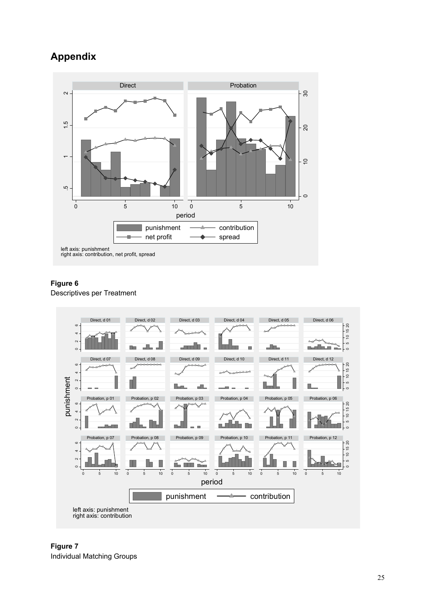# **Appendix**



### **Figure 6**

Descriptives per Treatment



**Figure 7**  Individual Matching Groups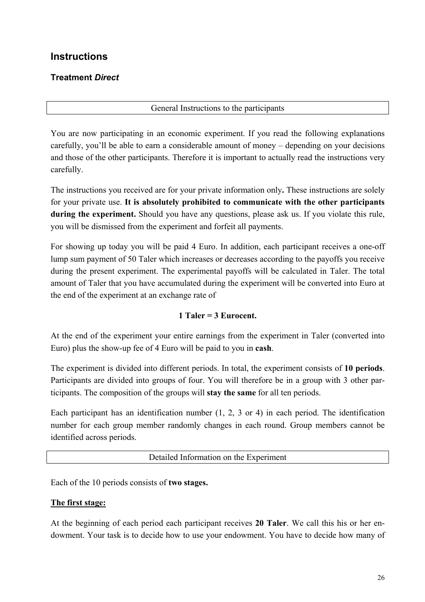# **Instructions**

### **Treatment** *Direct*

### General Instructions to the participants

You are now participating in an economic experiment. If you read the following explanations carefully, you'll be able to earn a considerable amount of money – depending on your decisions and those of the other participants. Therefore it is important to actually read the instructions very carefully.

The instructions you received are for your private information only**.** These instructions are solely for your private use. **It is absolutely prohibited to communicate with the other participants during the experiment.** Should you have any questions, please ask us. If you violate this rule, you will be dismissed from the experiment and forfeit all payments.

For showing up today you will be paid 4 Euro. In addition, each participant receives a one-off lump sum payment of 50 Taler which increases or decreases according to the payoffs you receive during the present experiment. The experimental payoffs will be calculated in Taler. The total amount of Taler that you have accumulated during the experiment will be converted into Euro at the end of the experiment at an exchange rate of

### **1 Taler = 3 Eurocent.**

At the end of the experiment your entire earnings from the experiment in Taler (converted into Euro) plus the show-up fee of 4 Euro will be paid to you in **cash**.

The experiment is divided into different periods. In total, the experiment consists of **10 periods**. Participants are divided into groups of four. You will therefore be in a group with 3 other participants. The composition of the groups will **stay the same** for all ten periods.

Each participant has an identification number (1, 2, 3 or 4) in each period. The identification number for each group member randomly changes in each round. Group members cannot be identified across periods.

### Detailed Information on the Experiment

Each of the 10 periods consists of **two stages.** 

### **The first stage:**

At the beginning of each period each participant receives **20 Taler**. We call this his or her endowment. Your task is to decide how to use your endowment. You have to decide how many of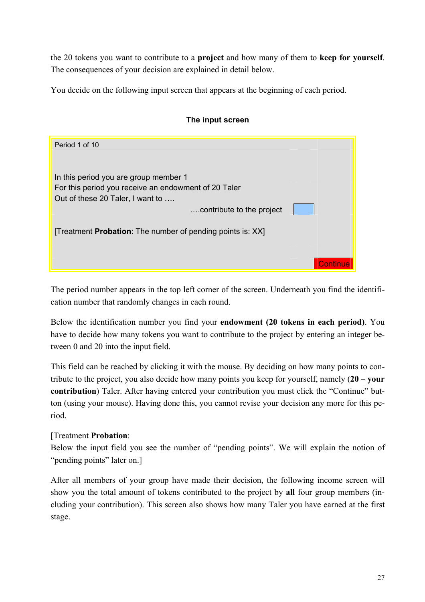the 20 tokens you want to contribute to a **project** and how many of them to **keep for yourself**. The consequences of your decision are explained in detail below.

You decide on the following input screen that appears at the beginning of each period.

### **The input screen**

| Period 1 of 10                                                     |  |
|--------------------------------------------------------------------|--|
|                                                                    |  |
|                                                                    |  |
| In this period you are group member 1                              |  |
| For this period you receive an endowment of 20 Taler               |  |
| Out of these 20 Taler, I want to                                   |  |
| contribute to the project                                          |  |
|                                                                    |  |
| [Treatment <b>Probation</b> : The number of pending points is: XX] |  |
|                                                                    |  |
|                                                                    |  |
|                                                                    |  |

The period number appears in the top left corner of the screen. Underneath you find the identification number that randomly changes in each round.

Below the identification number you find your **endowment (20 tokens in each period)**. You have to decide how many tokens you want to contribute to the project by entering an integer between 0 and 20 into the input field.

This field can be reached by clicking it with the mouse. By deciding on how many points to contribute to the project, you also decide how many points you keep for yourself, namely (**20 – your contribution**) Taler. After having entered your contribution you must click the "Continue" button (using your mouse). Having done this, you cannot revise your decision any more for this period.

### [Treatment **Probation**:

Below the input field you see the number of "pending points". We will explain the notion of "pending points" later on.

After all members of your group have made their decision, the following income screen will show you the total amount of tokens contributed to the project by **all** four group members (including your contribution). This screen also shows how many Taler you have earned at the first stage.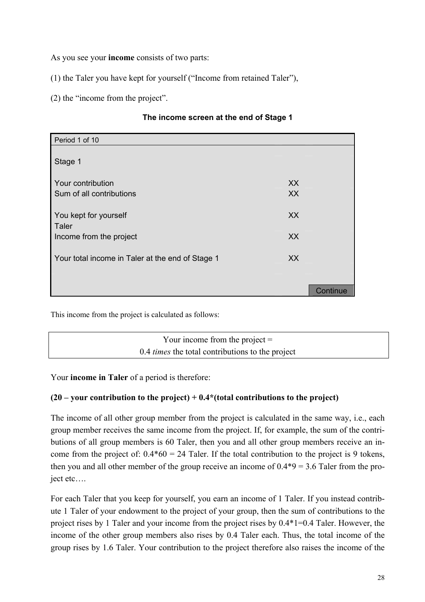As you see your **income** consists of two parts:

(1) the Taler you have kept for yourself ("Income from retained Taler"),

(2) the "income from the project".

### **The income screen at the end of Stage 1**

| Period 1 of 10                                   |           |          |
|--------------------------------------------------|-----------|----------|
|                                                  |           |          |
| Stage 1                                          |           |          |
| Your contribution                                | XX        |          |
|                                                  |           |          |
| Sum of all contributions                         | <b>XX</b> |          |
|                                                  |           |          |
| You kept for yourself                            | XX        |          |
| Taler                                            |           |          |
| Income from the project                          | XX        |          |
|                                                  |           |          |
| Your total income in Taler at the end of Stage 1 | <b>XX</b> |          |
|                                                  |           |          |
|                                                  |           |          |
|                                                  |           | Continue |
|                                                  |           |          |

This income from the project is calculated as follows:

Your income from the project  $=$ 0.4 *times* the total contributions to the project

Your **income in Taler** of a period is therefore:

### **(20 – your contribution to the project) + 0.4\*(total contributions to the project)**

The income of all other group member from the project is calculated in the same way, i.e., each group member receives the same income from the project. If, for example, the sum of the contributions of all group members is 60 Taler, then you and all other group members receive an income from the project of:  $0.4*60 = 24$  Taler. If the total contribution to the project is 9 tokens, then you and all other member of the group receive an income of  $0.4*9 = 3.6$  Taler from the project etc….

For each Taler that you keep for yourself, you earn an income of 1 Taler. If you instead contribute 1 Taler of your endowment to the project of your group, then the sum of contributions to the project rises by 1 Taler and your income from the project rises by 0.4\*1=0.4 Taler. However, the income of the other group members also rises by 0.4 Taler each. Thus, the total income of the group rises by 1.6 Taler. Your contribution to the project therefore also raises the income of the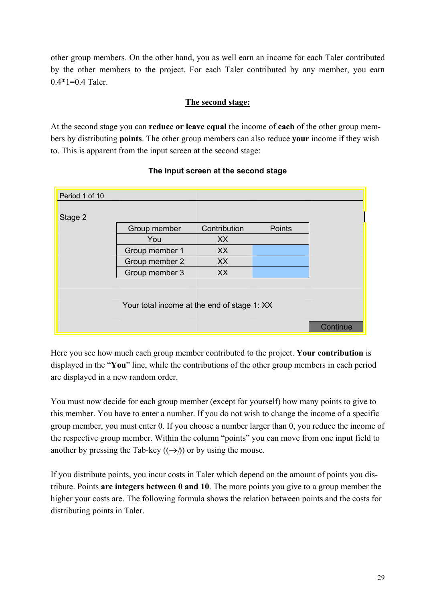other group members. On the other hand, you as well earn an income for each Taler contributed by the other members to the project. For each Taler contributed by any member, you earn  $0.4*1=0.4$  Taler.

#### **The second stage:**

At the second stage you can **reduce or leave equal** the income of **each** of the other group members by distributing **points**. The other group members can also reduce **your** income if they wish to. This is apparent from the input screen at the second stage:

| Period 1 of 10 |                                             |              |        |          |
|----------------|---------------------------------------------|--------------|--------|----------|
| Stage 2        |                                             |              |        |          |
|                | Group member                                | Contribution | Points |          |
|                | You                                         | XX           |        |          |
|                | Group member 1                              | XX           |        |          |
|                | Group member 2                              | XX           |        |          |
|                | Group member 3                              | XX           |        |          |
|                | Your total income at the end of stage 1: XX |              |        |          |
|                |                                             |              |        | Continue |

#### **The input screen at the second stage**

Here you see how much each group member contributed to the project. **Your contribution** is displayed in the "**You**" line, while the contributions of the other group members in each period are displayed in a new random order.

You must now decide for each group member (except for yourself) how many points to give to this member. You have to enter a number. If you do not wish to change the income of a specific group member, you must enter 0. If you choose a number larger than 0, you reduce the income of the respective group member. Within the column "points" you can move from one input field to another by pressing the Tab-key  $((\rightarrow))$  or by using the mouse.

If you distribute points, you incur costs in Taler which depend on the amount of points you distribute. Points **are integers between 0 and 10**. The more points you give to a group member the higher your costs are. The following formula shows the relation between points and the costs for distributing points in Taler.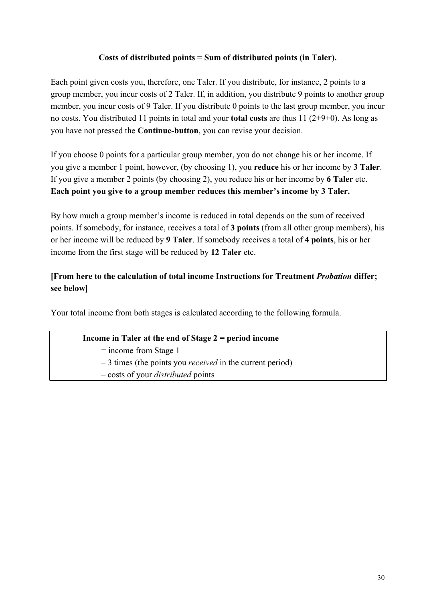### **Costs of distributed points = Sum of distributed points (in Taler).**

Each point given costs you, therefore, one Taler. If you distribute, for instance, 2 points to a group member, you incur costs of 2 Taler. If, in addition, you distribute 9 points to another group member, you incur costs of 9 Taler. If you distribute 0 points to the last group member, you incur no costs. You distributed 11 points in total and your **total costs** are thus 11 (2+9+0). As long as you have not pressed the **Continue-button**, you can revise your decision.

If you choose 0 points for a particular group member, you do not change his or her income. If you give a member 1 point, however, (by choosing 1), you **reduce** his or her income by **3 Taler**. If you give a member 2 points (by choosing 2), you reduce his or her income by **6 Taler** etc. **Each point you give to a group member reduces this member's income by 3 Taler.**

By how much a group member's income is reduced in total depends on the sum of received points. If somebody, for instance, receives a total of **3 points** (from all other group members), his or her income will be reduced by **9 Taler**. If somebody receives a total of **4 points**, his or her income from the first stage will be reduced by **12 Taler** etc.

### **[From here to the calculation of total income Instructions for Treatment** *Probation* **differ; see below]**

Your total income from both stages is calculated according to the following formula.

### **Income in Taler at the end of Stage 2 = period income**

= income from Stage 1

– 3 times (the points you *received* in the current period)

– costs of your *distributed* points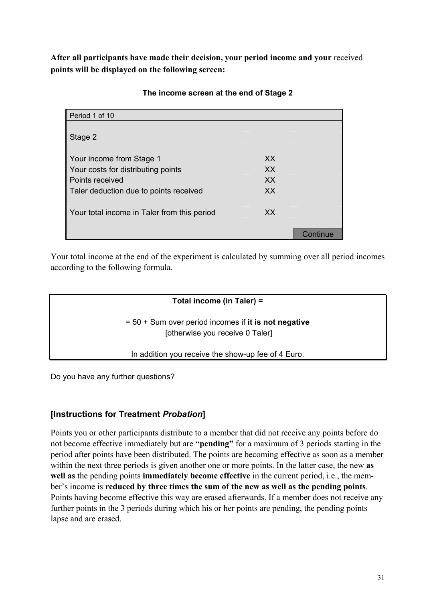**After all participants have made their decision, your period income and your** received **points will be displayed on the following screen:** 

| Period 1 of 10                              |     |    |
|---------------------------------------------|-----|----|
|                                             |     |    |
| Stage 2                                     |     |    |
|                                             |     |    |
| Your income from Stage 1                    | XX  |    |
| Your costs for distributing points          | XX  |    |
| Points received                             | XX  |    |
| Taler deduction due to points received      | XX  |    |
|                                             |     |    |
| Your total income in Taler from this period | XX. |    |
|                                             |     |    |
|                                             |     | ue |

### **The income screen at the end of Stage 2**

Your total income at the end of the experiment is calculated by summing over all period incomes according to the following formula.

### **Total income (in Taler) =**

= 50 + Sum over period incomes if **it is not negative** [otherwise you receive 0 Taler]

In addition you receive the show-up fee of 4 Euro.

Do you have any further questions?

### **[Instructions for Treatment** *Probation***]**

Points you or other participants distribute to a member that did not receive any points before do not become effective immediately but are **"pending"** for a maximum of 3 periods starting in the period after points have been distributed. The points are becoming effective as soon as a member within the next three periods is given another one or more points. In the latter case, the new **as well as** the pending points **immediately become effective** in the current period, i.e., the member's income is **reduced by three times the sum of the new as well as the pending points**. Points having become effective this way are erased afterwards. If a member does not receive any further points in the 3 periods during which his or her points are pending, the pending points lapse and are erased.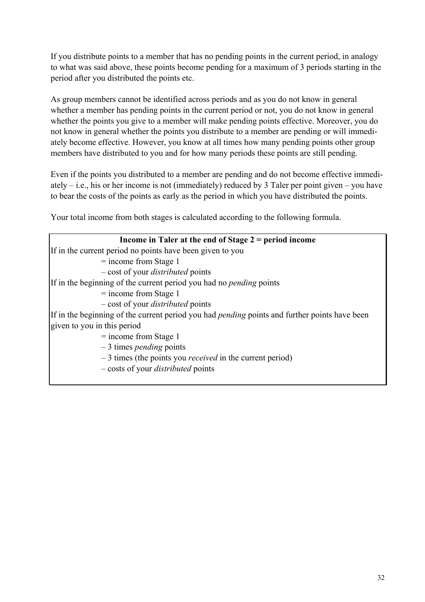If you distribute points to a member that has no pending points in the current period, in analogy to what was said above, these points become pending for a maximum of 3 periods starting in the period after you distributed the points etc.

As group members cannot be identified across periods and as you do not know in general whether a member has pending points in the current period or not, you do not know in general whether the points you give to a member will make pending points effective. Moreover, you do not know in general whether the points you distribute to a member are pending or will immediately become effective. However, you know at all times how many pending points other group members have distributed to you and for how many periods these points are still pending.

Even if the points you distributed to a member are pending and do not become effective immediately – i.e., his or her income is not (immediately) reduced by 3 Taler per point given – you have to bear the costs of the points as early as the period in which you have distributed the points.

Your total income from both stages is calculated according to the following formula.

| Income in Taler at the end of Stage $2 = period$ income                                              |
|------------------------------------------------------------------------------------------------------|
| If in the current period no points have been given to you                                            |
| $=$ income from Stage 1                                                                              |
| - cost of your <i>distributed</i> points                                                             |
| If in the beginning of the current period you had no <i>pending</i> points                           |
| $=$ income from Stage 1                                                                              |
| - cost of your <i>distributed</i> points                                                             |
| If in the beginning of the current period you had <i>pending</i> points and further points have been |
| given to you in this period                                                                          |
| $=$ income from Stage 1                                                                              |
| $-3$ times <i>pending</i> points                                                                     |
| $-3$ times (the points you <i>received</i> in the current period)                                    |
| - costs of your <i>distributed</i> points                                                            |
|                                                                                                      |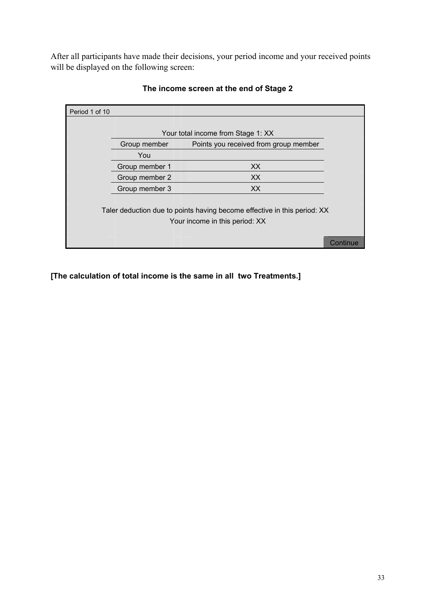After all participants have made their decisions, your period income and your received points will be displayed on the following screen:

| Period 1 of 10                                                           |                |                                       |  |
|--------------------------------------------------------------------------|----------------|---------------------------------------|--|
|                                                                          |                |                                       |  |
|                                                                          |                | Your total income from Stage 1: XX    |  |
|                                                                          | Group member   | Points you received from group member |  |
|                                                                          | You            |                                       |  |
|                                                                          | Group member 1 | XX.                                   |  |
|                                                                          | Group member 2 | XX.                                   |  |
|                                                                          | Group member 3 | XX.                                   |  |
|                                                                          |                |                                       |  |
| Taler deduction due to points having become effective in this period: XX |                |                                       |  |
| Your income in this period: XX                                           |                |                                       |  |
|                                                                          |                |                                       |  |
|                                                                          |                |                                       |  |

### **The income screen at the end of Stage 2**

**[The calculation of total income is the same in all two Treatments.]**